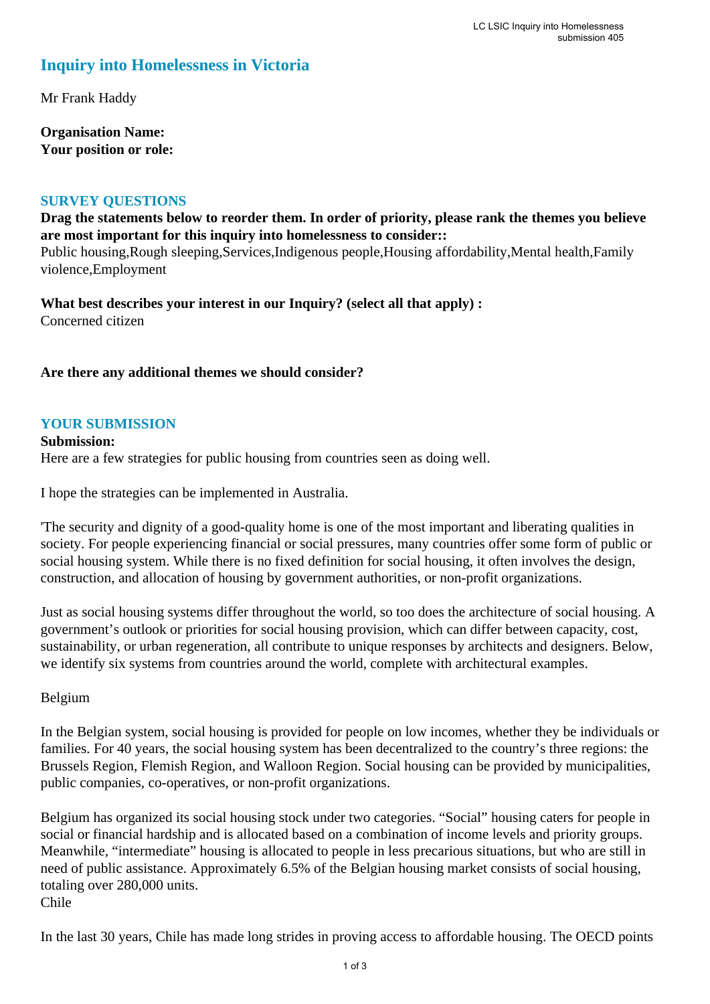# **Inquiry into Homelessness in Victoria**

Mr Frank Haddy

**Organisation Name: Your position or role:** 

#### **SURVEY QUESTIONS**

**Drag the statements below to reorder them. In order of priority, please rank the themes you believe are most important for this inquiry into homelessness to consider::** 

Public housing,Rough sleeping,Services,Indigenous people,Housing affordability,Mental health,Family violence,Employment

**What best describes your interest in our Inquiry? (select all that apply) :**  Concerned citizen

**Are there any additional themes we should consider?**

#### **YOUR SUBMISSION**

**Submission:**  Here are a few strategies for public housing from countries seen as doing well.

I hope the strategies can be implemented in Australia.

'The security and dignity of a good-quality home is one of the most important and liberating qualities in society. For people experiencing financial or social pressures, many countries offer some form of public or social housing system. While there is no fixed definition for social housing, it often involves the design, construction, and allocation of housing by government authorities, or non-profit organizations.

Just as social housing systems differ throughout the world, so too does the architecture of social housing. A government's outlook or priorities for social housing provision, which can differ between capacity, cost, sustainability, or urban regeneration, all contribute to unique responses by architects and designers. Below, we identify six systems from countries around the world, complete with architectural examples.

#### Belgium

In the Belgian system, social housing is provided for people on low incomes, whether they be individuals or families. For 40 years, the social housing system has been decentralized to the country's three regions: the Brussels Region, Flemish Region, and Walloon Region. Social housing can be provided by municipalities, public companies, co-operatives, or non-profit organizations.

Belgium has organized its social housing stock under two categories. "Social" housing caters for people in social or financial hardship and is allocated based on a combination of income levels and priority groups. Meanwhile, "intermediate" housing is allocated to people in less precarious situations, but who are still in need of public assistance. Approximately 6.5% of the Belgian housing market consists of social housing, totaling over 280,000 units. Chile

In the last 30 years, Chile has made long strides in proving access to affordable housing. The OECD points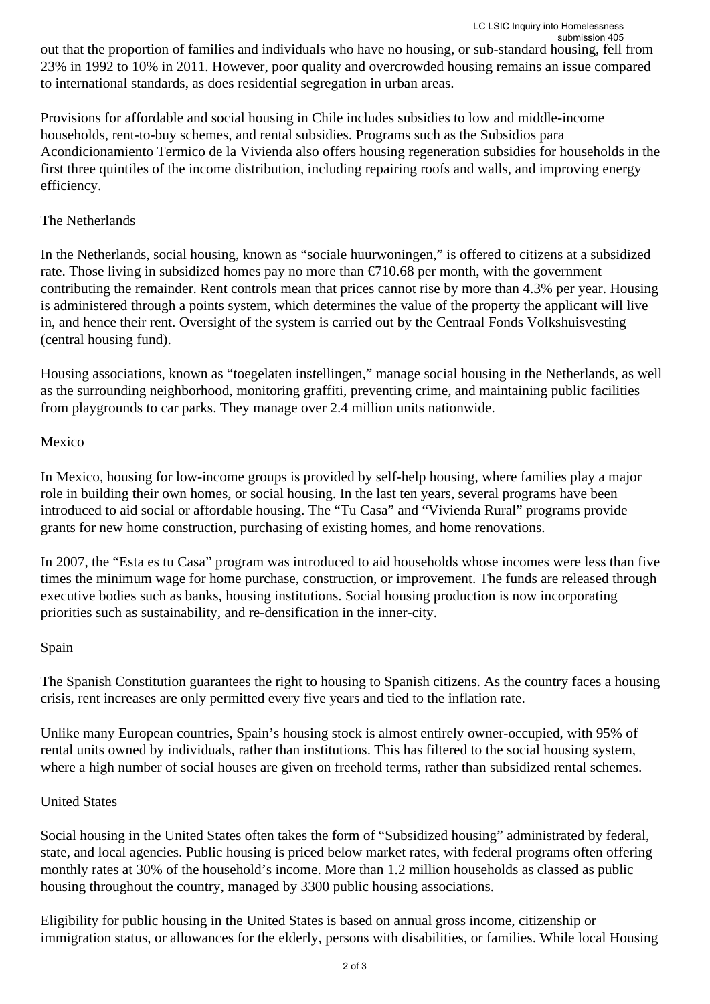Provisions for affordable and social housing in Chile includes subsidies to low and middle-income households, rent-to-buy schemes, and rental subsidies. Programs such as the Subsidios para Acondicionamiento Termico de la Vivienda also offers housing regeneration subsidies for households in the first three quintiles of the income distribution, including repairing roofs and walls, and improving energy efficiency.

# The Netherlands

In the Netherlands, social housing, known as "sociale huurwoningen," is offered to citizens at a subsidized rate. Those living in subsidized homes pay no more than  $\epsilon$ 710.68 per month, with the government contributing the remainder. Rent controls mean that prices cannot rise by more than 4.3% per year. Housing is administered through a points system, which determines the value of the property the applicant will live in, and hence their rent. Oversight of the system is carried out by the Centraal Fonds Volkshuisvesting (central housing fund).

Housing associations, known as "toegelaten instellingen," manage social housing in the Netherlands, as well as the surrounding neighborhood, monitoring graffiti, preventing crime, and maintaining public facilities from playgrounds to car parks. They manage over 2.4 million units nationwide.

# Mexico

In Mexico, housing for low-income groups is provided by self-help housing, where families play a major role in building their own homes, or social housing. In the last ten years, several programs have been introduced to aid social or affordable housing. The "Tu Casa" and "Vivienda Rural" programs provide grants for new home construction, purchasing of existing homes, and home renovations.

In 2007, the "Esta es tu Casa" program was introduced to aid households whose incomes were less than five times the minimum wage for home purchase, construction, or improvement. The funds are released through executive bodies such as banks, housing institutions. Social housing production is now incorporating priorities such as sustainability, and re-densification in the inner-city.

# Spain

The Spanish Constitution guarantees the right to housing to Spanish citizens. As the country faces a housing crisis, rent increases are only permitted every five years and tied to the inflation rate.

Unlike many European countries, Spain's housing stock is almost entirely owner-occupied, with 95% of rental units owned by individuals, rather than institutions. This has filtered to the social housing system, where a high number of social houses are given on freehold terms, rather than subsidized rental schemes.

# United States

Social housing in the United States often takes the form of "Subsidized housing" administrated by federal, state, and local agencies. Public housing is priced below market rates, with federal programs often offering monthly rates at 30% of the household's income. More than 1.2 million households as classed as public housing throughout the country, managed by 3300 public housing associations.

Eligibility for public housing in the United States is based on annual gross income, citizenship or immigration status, or allowances for the elderly, persons with disabilities, or families. While local Housing